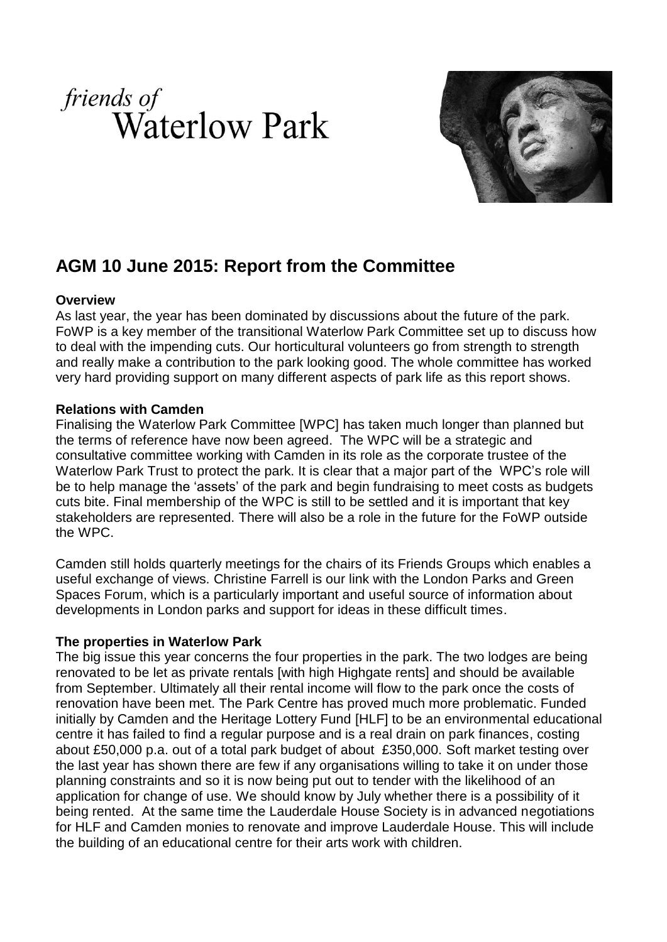



# **AGM 10 June 2015: Report from the Committee**

### **Overview**

As last year, the year has been dominated by discussions about the future of the park. FoWP is a key member of the transitional Waterlow Park Committee set up to discuss how to deal with the impending cuts. Our horticultural volunteers go from strength to strength and really make a contribution to the park looking good. The whole committee has worked very hard providing support on many different aspects of park life as this report shows.

### **Relations with Camden**

Finalising the Waterlow Park Committee [WPC] has taken much longer than planned but the terms of reference have now been agreed. The WPC will be a strategic and consultative committee working with Camden in its role as the corporate trustee of the Waterlow Park Trust to protect the park. It is clear that a major part of the WPC's role will be to help manage the 'assets' of the park and begin fundraising to meet costs as budgets cuts bite. Final membership of the WPC is still to be settled and it is important that key stakeholders are represented. There will also be a role in the future for the FoWP outside the WPC.

Camden still holds quarterly meetings for the chairs of its Friends Groups which enables a useful exchange of views. Christine Farrell is our link with the London Parks and Green Spaces Forum, which is a particularly important and useful source of information about developments in London parks and support for ideas in these difficult times.

### **The properties in Waterlow Park**

The big issue this year concerns the four properties in the park. The two lodges are being renovated to be let as private rentals [with high Highgate rents] and should be available from September. Ultimately all their rental income will flow to the park once the costs of renovation have been met. The Park Centre has proved much more problematic. Funded initially by Camden and the Heritage Lottery Fund [HLF] to be an environmental educational centre it has failed to find a regular purpose and is a real drain on park finances, costing about £50,000 p.a. out of a total park budget of about £350,000. Soft market testing over the last year has shown there are few if any organisations willing to take it on under those planning constraints and so it is now being put out to tender with the likelihood of an application for change of use. We should know by July whether there is a possibility of it being rented. At the same time the Lauderdale House Society is in advanced negotiations for HLF and Camden monies to renovate and improve Lauderdale House. This will include the building of an educational centre for their arts work with children.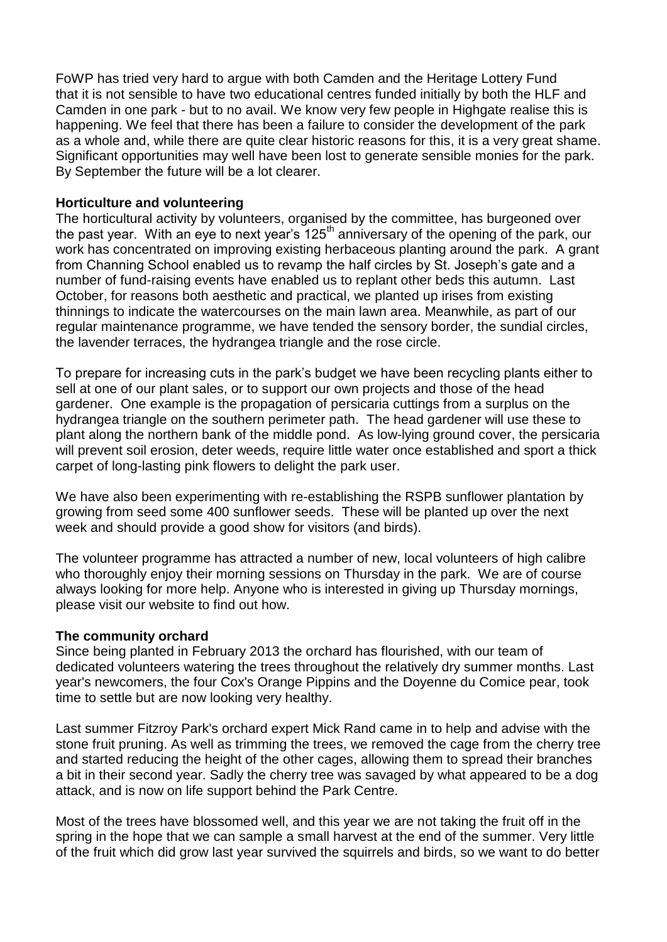FoWP has tried very hard to argue with both Camden and the Heritage Lottery Fund that it is not sensible to have two educational centres funded initially by both the HLF and Camden in one park - but to no avail. We know very few people in Highgate realise this is happening. We feel that there has been a failure to consider the development of the park as a whole and, while there are quite clear historic reasons for this, it is a very great shame. Significant opportunities may well have been lost to generate sensible monies for the park. By September the future will be a lot clearer.

#### **Horticulture and volunteering**

The horticultural activity by volunteers, organised by the committee, has burgeoned over the past year. With an eye to next year's  $125<sup>th</sup>$  anniversary of the opening of the park, our work has concentrated on improving existing herbaceous planting around the park. A grant from Channing School enabled us to revamp the half circles by St. Joseph's gate and a number of fund-raising events have enabled us to replant other beds this autumn. Last October, for reasons both aesthetic and practical, we planted up irises from existing thinnings to indicate the watercourses on the main lawn area. Meanwhile, as part of our regular maintenance programme, we have tended the sensory border, the sundial circles, the lavender terraces, the hydrangea triangle and the rose circle.

To prepare for increasing cuts in the park's budget we have been recycling plants either to sell at one of our plant sales, or to support our own projects and those of the head gardener. One example is the propagation of persicaria cuttings from a surplus on the hydrangea triangle on the southern perimeter path. The head gardener will use these to plant along the northern bank of the middle pond. As low-lying ground cover, the persicaria will prevent soil erosion, deter weeds, require little water once established and sport a thick carpet of long-lasting pink flowers to delight the park user.

We have also been experimenting with re-establishing the RSPB sunflower plantation by growing from seed some 400 sunflower seeds. These will be planted up over the next week and should provide a good show for visitors (and birds).

The volunteer programme has attracted a number of new, local volunteers of high calibre who thoroughly enjoy their morning sessions on Thursday in the park. We are of course always looking for more help. Anyone who is interested in giving up Thursday mornings, please visit our website to find out how.

#### **The community orchard**

Since being planted in February 2013 the orchard has flourished, with our team of dedicated volunteers watering the trees throughout the relatively dry summer months. Last year's newcomers, the four Cox's Orange Pippins and the Doyenne du Comice pear, took time to settle but are now looking very healthy.

Last summer Fitzroy Park's orchard expert Mick Rand came in to help and advise with the stone fruit pruning. As well as trimming the trees, we removed the cage from the cherry tree and started reducing the height of the other cages, allowing them to spread their branches a bit in their second year. Sadly the cherry tree was savaged by what appeared to be a dog attack, and is now on life support behind the Park Centre.

Most of the trees have blossomed well, and this year we are not taking the fruit off in the spring in the hope that we can sample a small harvest at the end of the summer. Very little of the fruit which did grow last year survived the squirrels and birds, so we want to do better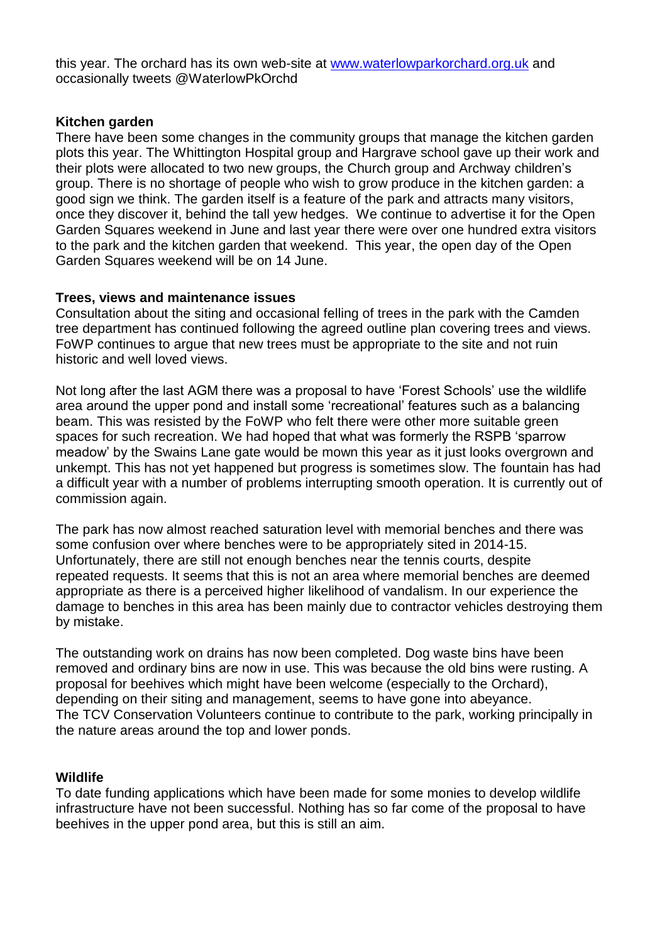this year. The orchard has its own web-site at [www.waterlowparkorchard.org.uk](http://www.waterlowparkorchard.org.uk/) and occasionally tweets @WaterlowPkOrchd

# **Kitchen garden**

There have been some changes in the community groups that manage the kitchen garden plots this year. The Whittington Hospital group and Hargrave school gave up their work and their plots were allocated to two new groups, the Church group and Archway children's group. There is no shortage of people who wish to grow produce in the kitchen garden: a good sign we think. The garden itself is a feature of the park and attracts many visitors, once they discover it, behind the tall yew hedges. We continue to advertise it for the Open Garden Squares weekend in June and last year there were over one hundred extra visitors to the park and the kitchen garden that weekend. This year, the open day of the Open Garden Squares weekend will be on 14 June.

# **Trees, views and maintenance issues**

Consultation about the siting and occasional felling of trees in the park with the Camden tree department has continued following the agreed outline plan covering trees and views. FoWP continues to argue that new trees must be appropriate to the site and not ruin historic and well loved views.

Not long after the last AGM there was a proposal to have 'Forest Schools' use the wildlife area around the upper pond and install some 'recreational' features such as a balancing beam. This was resisted by the FoWP who felt there were other more suitable green spaces for such recreation. We had hoped that what was formerly the RSPB 'sparrow meadow' by the Swains Lane gate would be mown this year as it just looks overgrown and unkempt. This has not yet happened but progress is sometimes slow. The fountain has had a difficult year with a number of problems interrupting smooth operation. It is currently out of commission again.

The park has now almost reached saturation level with memorial benches and there was some confusion over where benches were to be appropriately sited in 2014-15. Unfortunately, there are still not enough benches near the tennis courts, despite repeated requests. It seems that this is not an area where memorial benches are deemed appropriate as there is a perceived higher likelihood of vandalism. In our experience the damage to benches in this area has been mainly due to contractor vehicles destroying them by mistake.

The outstanding work on drains has now been completed. Dog waste bins have been removed and ordinary bins are now in use. This was because the old bins were rusting. A proposal for beehives which might have been welcome (especially to the Orchard), depending on their siting and management, seems to have gone into abeyance. The TCV Conservation Volunteers continue to contribute to the park, working principally in the nature areas around the top and lower ponds.

# **Wildlife**

To date funding applications which have been made for some monies to develop wildlife infrastructure have not been successful. Nothing has so far come of the proposal to have beehives in the upper pond area, but this is still an aim.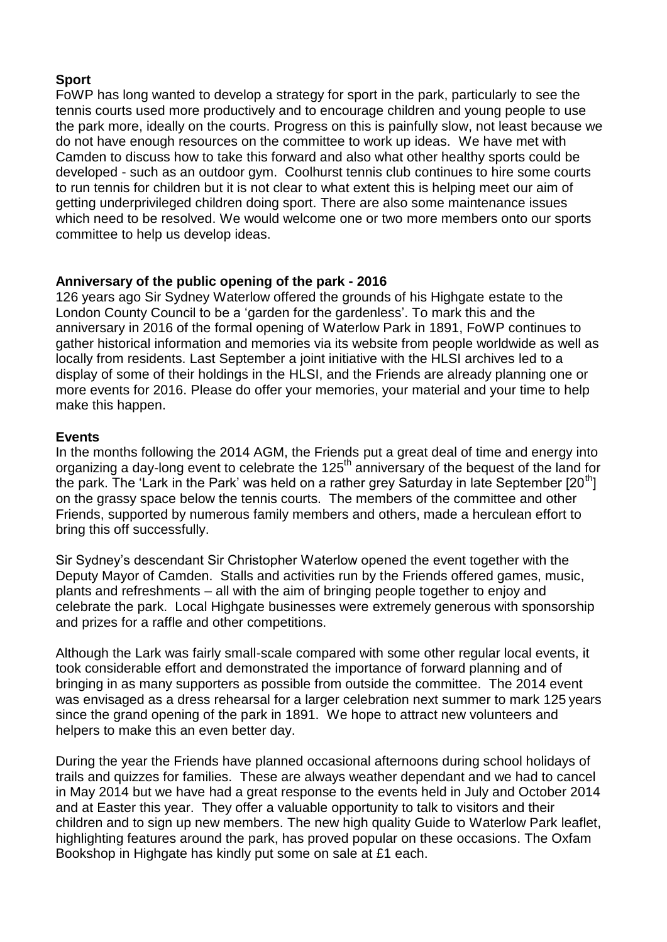# **Sport**

FoWP has long wanted to develop a strategy for sport in the park, particularly to see the tennis courts used more productively and to encourage children and young people to use the park more, ideally on the courts. Progress on this is painfully slow, not least because we do not have enough resources on the committee to work up ideas. We have met with Camden to discuss how to take this forward and also what other healthy sports could be developed - such as an outdoor gym. Coolhurst tennis club continues to hire some courts to run tennis for children but it is not clear to what extent this is helping meet our aim of getting underprivileged children doing sport. There are also some maintenance issues which need to be resolved. We would welcome one or two more members onto our sports committee to help us develop ideas.

# **Anniversary of the public opening of the park - 2016**

126 years ago Sir Sydney Waterlow offered the grounds of his Highgate estate to the London County Council to be a 'garden for the gardenless'. To mark this and the anniversary in 2016 of the formal opening of Waterlow Park in 1891, FoWP continues to gather historical information and memories via its website from people worldwide as well as locally from residents. Last September a joint initiative with the HLSI archives led to a display of some of their holdings in the HLSI, and the Friends are already planning one or more events for 2016. Please do offer your memories, your material and your time to help make this happen.

### **Events**

In the months following the 2014 AGM, the Friends put a great deal of time and energy into organizing a day-long event to celebrate the 125<sup>th</sup> anniversary of the bequest of the land for the park. The 'Lark in the Park' was held on a rather grey Saturday in late September  $[20<sup>th</sup>]$ on the grassy space below the tennis courts. The members of the committee and other Friends, supported by numerous family members and others, made a herculean effort to bring this off successfully.

Sir Sydney's descendant Sir Christopher Waterlow opened the event together with the Deputy Mayor of Camden. Stalls and activities run by the Friends offered games, music, plants and refreshments – all with the aim of bringing people together to enjoy and celebrate the park. Local Highgate businesses were extremely generous with sponsorship and prizes for a raffle and other competitions.

Although the Lark was fairly small-scale compared with some other regular local events, it took considerable effort and demonstrated the importance of forward planning and of bringing in as many supporters as possible from outside the committee. The 2014 event was envisaged as a dress rehearsal for a larger celebration next summer to mark 125 years since the grand opening of the park in 1891. We hope to attract new volunteers and helpers to make this an even better day.

During the year the Friends have planned occasional afternoons during school holidays of trails and quizzes for families. These are always weather dependant and we had to cancel in May 2014 but we have had a great response to the events held in July and October 2014 and at Easter this year. They offer a valuable opportunity to talk to visitors and their children and to sign up new members. The new high quality Guide to Waterlow Park leaflet, highlighting features around the park, has proved popular on these occasions. The Oxfam Bookshop in Highgate has kindly put some on sale at £1 each.